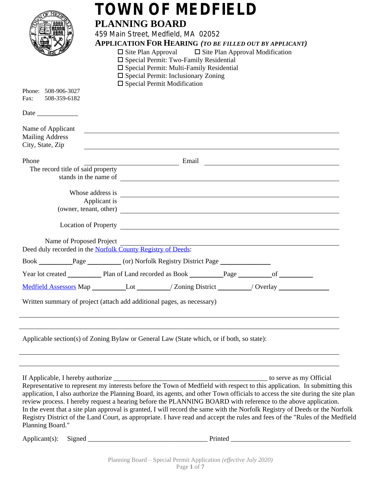| Phone: 508-906-3027<br>Fax:<br>508-359-6182                     | <b>TOWN OF MEDFIELD</b><br><b>PLANNING BOARD</b><br>459 Main Street, Medfield, MA 02052<br><b>APPLICATION FOR HEARING (TO BE FILLED OUT BY APPLICANT)</b><br>$\Box$ Site Plan Approval $\Box$ Site Plan Approval Modification<br>$\Box$ Special Permit: Two-Family Residential<br>$\square$ Special Permit: Multi-Family Residential<br>$\square$ Special Permit: Inclusionary Zoning<br>$\square$ Special Permit Modification                                                                                                                                                                                                              |
|-----------------------------------------------------------------|---------------------------------------------------------------------------------------------------------------------------------------------------------------------------------------------------------------------------------------------------------------------------------------------------------------------------------------------------------------------------------------------------------------------------------------------------------------------------------------------------------------------------------------------------------------------------------------------------------------------------------------------|
| Name of Applicant<br><b>Mailing Address</b><br>City, State, Zip | ,我们也不会有什么。""我们的人,我们也不会有什么?""我们的人,我们也不会有什么?""我们的人,我们也不会有什么?""我们的人,我们也不会有什么?""我们的人<br><u> 1989 - Johann Stoff, amerikansk politiker (* 1908)</u>                                                                                                                                                                                                                                                                                                                                                                                                                                                                                              |
| Phone                                                           | <u>Email Communications and Email Communications and the set of the set of the set of the set of the set of the set of the set of the set of the set of the set of the set of the set of the set of the set of the set of the se</u>                                                                                                                                                                                                                                                                                                                                                                                                        |
| The record title of said property                               |                                                                                                                                                                                                                                                                                                                                                                                                                                                                                                                                                                                                                                             |
|                                                                 | Whose address is<br>Applicant is<br>(owner, tenant, other)                                                                                                                                                                                                                                                                                                                                                                                                                                                                                                                                                                                  |
|                                                                 | Name of Proposed Project<br><u> 1989 - Johann Stoff, deutscher Stoff, der Stoff, der Stoff, der Stoff, der Stoff, der Stoff, der Stoff, der S</u>                                                                                                                                                                                                                                                                                                                                                                                                                                                                                           |
|                                                                 | Deed duly recorded in the Norfolk County Registry of Deeds:                                                                                                                                                                                                                                                                                                                                                                                                                                                                                                                                                                                 |
|                                                                 |                                                                                                                                                                                                                                                                                                                                                                                                                                                                                                                                                                                                                                             |
|                                                                 | Medfield Assessors Map ___________Lot ________/ Zoning District ________/ Overlay __________________                                                                                                                                                                                                                                                                                                                                                                                                                                                                                                                                        |
|                                                                 | Written summary of project (attach add additional pages, as necessary)                                                                                                                                                                                                                                                                                                                                                                                                                                                                                                                                                                      |
|                                                                 | Applicable section(s) of Zoning Bylaw or General Law (State which, or if both, so state):                                                                                                                                                                                                                                                                                                                                                                                                                                                                                                                                                   |
| Planning Board."                                                | Representative to represent my interests before the Town of Medfield with respect to this application. In submitting this<br>application, I also authorize the Planning Board, its agents, and other Town officials to access the site during the site plan<br>review process. I hereby request a hearing before the PLANNING BOARD with reference to the above application.<br>In the event that a site plan approval is granted, I will record the same with the Norfolk Registry of Deeds or the Norfolk<br>Registry District of the Land Court, as appropriate. I have read and accept the rules and fees of the "Rules of the Medfield |
|                                                                 |                                                                                                                                                                                                                                                                                                                                                                                                                                                                                                                                                                                                                                             |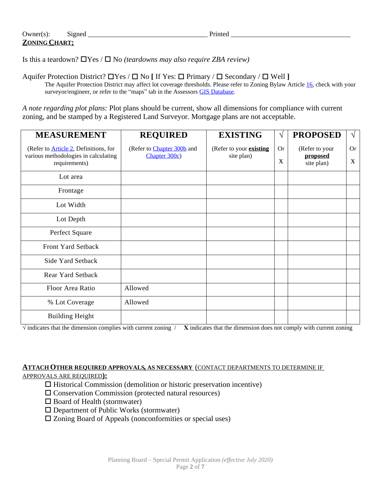Is this a teardown?  $\Box$  Yes /  $\Box$  No *(teardowns may also require ZBA review)* 

Aquifer Protection District?  $\Box$  Yes /  $\Box$  No [ If Yes:  $\Box$  Primary /  $\Box$  Secondary /  $\Box$  Well ]

The Aquifer Protection District may affect lot coverage thresholds. Please refer to Zoning Bylaw Article [16](http://www.ecode360.com/27374618), check with your surveyor/engineer, or refer to the "maps" tab in the Assessors [GIS Database.](http://medfield.patriotproperties.com/default.asp)

*A note regarding plot plans:* Plot plans should be current, show all dimensions for compliance with current zoning, and be stamped by a Registered Land Surveyor. Mortgage plans are not acceptable.

| <b>MEASUREMENT</b>                                                                                     | <b>REQUIRED</b>                             | <b>EXISTING</b>                              | V              | <b>PROPOSED</b>                          | $\sqrt{}$      |
|--------------------------------------------------------------------------------------------------------|---------------------------------------------|----------------------------------------------|----------------|------------------------------------------|----------------|
| (Refer to <b>Article 2</b> , Definitions, for<br>various methodologies in calculating<br>requirements) | (Refer to Chapter 300b and<br>Chapter 300c) | (Refer to your <b>existing</b><br>site plan) | <b>Or</b><br>X | (Refer to your<br>proposed<br>site plan) | <b>Or</b><br>X |
| Lot area                                                                                               |                                             |                                              |                |                                          |                |
| Frontage                                                                                               |                                             |                                              |                |                                          |                |
| Lot Width                                                                                              |                                             |                                              |                |                                          |                |
| Lot Depth                                                                                              |                                             |                                              |                |                                          |                |
| Perfect Square                                                                                         |                                             |                                              |                |                                          |                |
| Front Yard Setback                                                                                     |                                             |                                              |                |                                          |                |
| Side Yard Setback                                                                                      |                                             |                                              |                |                                          |                |
| <b>Rear Yard Setback</b>                                                                               |                                             |                                              |                |                                          |                |
| Floor Area Ratio                                                                                       | Allowed                                     |                                              |                |                                          |                |
| % Lot Coverage                                                                                         | Allowed                                     |                                              |                |                                          |                |
| <b>Building Height</b>                                                                                 |                                             |                                              |                |                                          |                |

**√** indicates that the dimension complies with current zoning / **Χ** indicates that the dimension does not comply with current zoning

**ATTACH OTHER REQUIRED APPROVALS, AS NECESSARY** (CONTACT DEPARTMENTS TO DETERMINE IF

APPROVALS ARE REQUIRED**):**

- $\Box$  Historical Commission (demolition or historic preservation incentive)
- $\square$  Conservation Commission (protected natural resources)
- $\square$  Board of Health (stormwater)
- $\square$  Department of Public Works (stormwater)
- $\square$  Zoning Board of Appeals (nonconformities or special uses)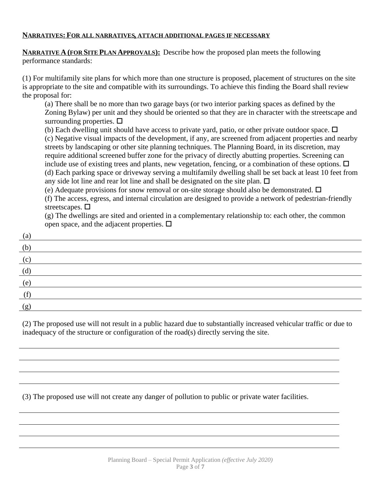## **NARRATIVES: FOR ALL NARRATIVES, ATTACH ADDITIONAL PAGES IF NECESSARY**

**NARRATIVE A (FOR SITE PLAN APPROVALS):** Describe how the proposed plan meets the following performance standards:

(1) For multifamily site plans for which more than one structure is proposed, placement of structures on the site is appropriate to the site and compatible with its surroundings. To achieve this finding the Board shall review the proposal for:

(a) There shall be no more than two garage bays (or two interior parking spaces as defined by the Zoning Bylaw) per unit and they should be oriented so that they are in character with the streetscape and surrounding properties.  $\Box$ 

(b) Each dwelling unit should have access to private yard, patio, or other private outdoor space.  $\Box$ (c) Negative visual impacts of the development, if any, are screened from adjacent properties and nearby streets by landscaping or other site planning techniques. The Planning Board, in its discretion, may require additional screened buffer zone for the privacy of directly abutting properties. Screening can include use of existing trees and plants, new vegetation, fencing, or a combination of these options.  $\Box$ (d) Each parking space or driveway serving a multifamily dwelling shall be set back at least 10 feet from any side lot line and rear lot line and shall be designated on the site plan.  $\Box$ 

(e) Adequate provisions for snow removal or on-site storage should also be demonstrated.  $\Box$ 

(f) The access, egress, and internal circulation are designed to provide a network of pedestrian-friendly streetscapes.  $\square$ 

(g) The dwellings are sited and oriented in a complementary relationship to: each other, the common open space, and the adjacent properties.  $\Box$ 

| (a) |  |
|-----|--|
| (b) |  |
| (c) |  |
| (d) |  |
| (e) |  |
|     |  |
| (g) |  |

(2) The proposed use will not result in a public hazard due to substantially increased vehicular traffic or due to inadequacy of the structure or configuration of the road(s) directly serving the site.

(3) The proposed use will not create any danger of pollution to public or private water facilities.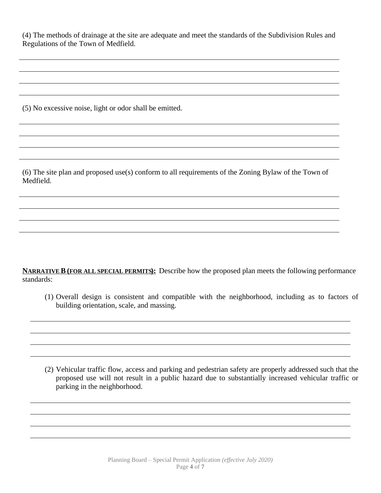(4) The methods of drainage at the site are adequate and meet the standards of the Subdivision Rules and Regulations of the Town of Medfield.

(5) No excessive noise, light or odor shall be emitted.

(6) The site plan and proposed use(s) conform to all requirements of the Zoning Bylaw of the Town of Medfield.

**NARRATIVE B(FOR ALL SPECIAL PERMITS):** Describe how the proposed plan meets the following performance standards:

(1) Overall design is consistent and compatible with the neighborhood, including as to factors of building orientation, scale, and massing.

(2) Vehicular traffic flow, access and parking and pedestrian safety are properly addressed such that the proposed use will not result in a public hazard due to substantially increased vehicular traffic or parking in the neighborhood.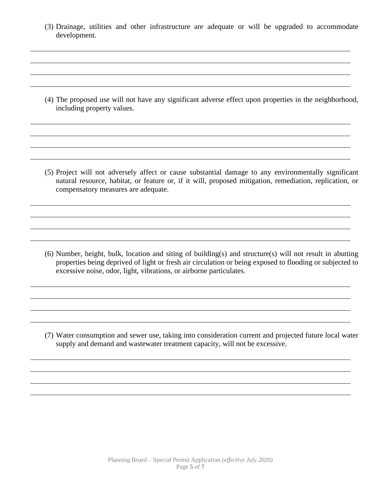(3) Drainage, utilities and other infrastructure are adequate or will be upgraded to accommodate development.

(4) The proposed use will not have any significant adverse effect upon properties in the neighborhood, including property values.

(5) Project will not adversely affect or cause substantial damage to any environmentally significant natural resource, habitat, or feature or, if it will, proposed mitigation, remediation, replication, or compensatory measures are adequate.

(6) Number, height, bulk, location and siting of building(s) and structure(s) will not result in abutting properties being deprived of light or fresh air circulation or being exposed to flooding or subjected to excessive noise, odor, light, vibrations, or airborne particulates.

(7) Water consumption and sewer use, taking into consideration current and projected future local water supply and demand and wastewater treatment capacity, will not be excessive.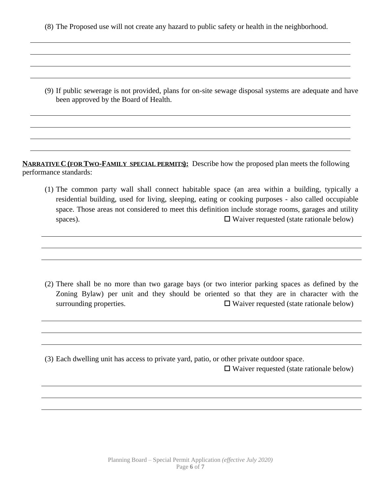(8) The Proposed use will not create any hazard to public safety or health in the neighborhood.

(9) If public sewerage is not provided, plans for on-site sewage disposal systems are adequate and have been approved by the Board of Health.

**NARRATIVE C (FOR TWO-FAMILY SPECIAL PERMITS):** Describe how the proposed plan meets the following performance standards:

(1) The common party wall shall connect habitable space (an area within a building, typically a residential building, used for living, sleeping, eating or cooking purposes - also called occupiable space. Those areas not considered to meet this definition include storage rooms, garages and utility spaces).  $\Box$  Waiver requested (state rationale below)

(2) There shall be no more than two garage bays (or two interior parking spaces as defined by the Zoning Bylaw) per unit and they should be oriented so that they are in character with the surrounding properties.  $\Box$  Waiver requested (state rationale below)

(3) Each dwelling unit has access to private yard, patio, or other private outdoor space.

 $\Box$  Waiver requested (state rationale below)